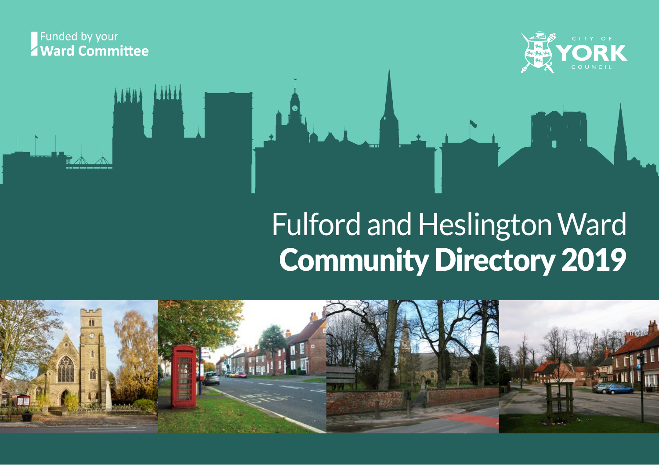#### Funded by your **Z** Ward Committee



# Fulford and Heslington Ward Community Directory 2019

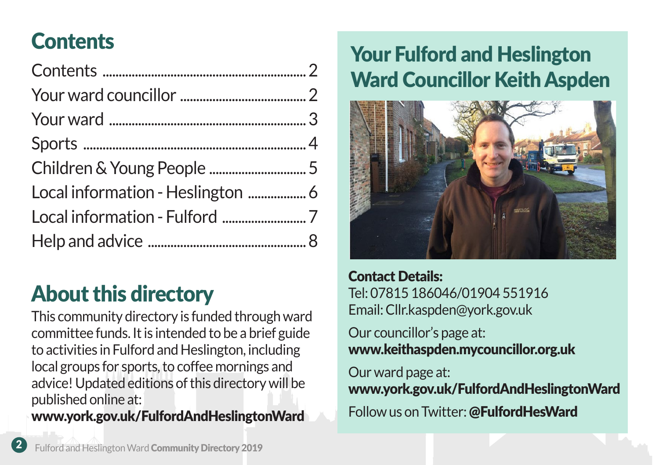### **Contents**

About this directory

This community directory is funded through ward committee funds. It is intended to be a brief guide to activities in Fulford and Heslington, including local groups for sports, to coffee mornings and advice! Updated editions of this directory will be published online at:

www.york.gov.uk/FulfordAndHeslingtonWard

### Your Fulford and Heslington Ward Councillor Keith Aspden



Contact Details: Tel: 07815 186046/01904 551916 Email: Cllr.kaspden@york.gov.uk

Our councillor's page at: www.keithaspden.mycouncillor.org.uk

Our ward page at: www.york.gov.uk/FulfordAndHeslingtonWard Follow us on Twitter: @FulfordHesWard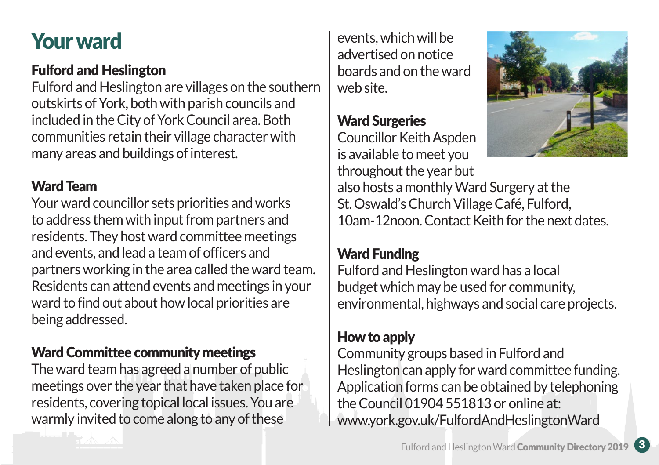### Your ward

#### Fulford and Heslington

Fulford and Heslington are villages on the southern outskirts of York, both with parish councils and included in the City of York Council area. Both communities retain their village character with many areas and buildings of interest.

#### Ward Team

Your ward councillor sets priorities and works to address them with input from partners and residents. They host ward committee meetings and events, and lead a team of officers and partners working in the area called the ward team. Residents can attend events and meetings in your ward to find out about how local priorities are being addressed.

#### Ward Committee community meetings

The ward team has agreed a number of public meetings over the year that have taken place for residents, covering topical local issues. You are warmly invited to come along to any of these

events, which will be advertised on notice boards and on the ward web site.

#### Ward Surgeries

Councillor Keith Aspden is available to meet you throughout the year but



also hosts a monthly Ward Surgery at the St. Oswald's Church Village Café, Fulford, 10am-12noon. Contact Keith for the next dates.

#### Ward Funding

Fulford and Heslington ward has a local budget which may be used for community, environmental, highways and social care projects.

#### How to apply

Community groups based in Fulford and Heslington can apply for ward committee funding. Application forms can be obtained by telephoning the Council 01904 551813 or online at: www.york.gov.uk/FulfordAndHeslingtonWard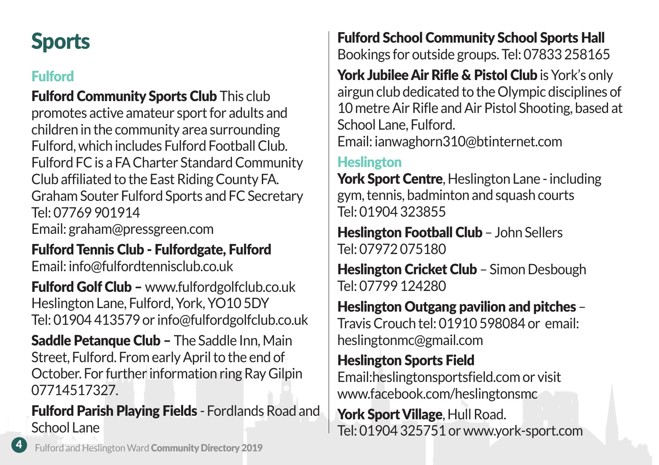## **Sports**

### Fulford

**Fulford Community Sports Club This club** promotes active amateur sport for adults and children in the community area surrounding Fulford, which includes Fulford Football Club. Fulford FC is a FA Charter Standard Community Club affiliated to the East Riding County FA. Graham Souter Fulford Sports and FC Secretary Tel: 07769 901914 Email: graham@pressgreen.com

#### Fulford Tennis Club - Fulfordgate, Fulford Email: info@fulfordtennisclub.co.uk

Fulford Golf Club – www.fulfordgolfclub.co.uk Heslington Lane, Fulford, York, YO10 5DY Tel: 01904 413579 or info@fulfordgolfclub.co.uk

**Saddle Petanque Club – The Saddle Inn, Main** Street, Fulford. From early April to the end of October. For further information ring Ray Gilpin 07714517327.

Fulford Parish Playing Fields - Fordlands Road and School Lane

Fulford School Community School Sports Hall Bookings for outside groups. Tel: 07833 258165

York Jubilee Air Rifle & Pistol Club is York's only airgun club dedicated to the Olympic disciplines of 10 metre Air Rifle and Air Pistol Shooting, based at School Lane, Fulford.

Email: ianwaghorn310@btinternet.com

#### **Heslington**

York Sport Centre, Heslington Lane - including gym, tennis, badminton and squash courts Tel: 01904 323855

**Heslington Football Club - John Sellers** Tel: 07972 075180

**Heslington Cricket Club - Simon Desbough** Tel: 07799 124280

#### Heslington Outgang pavilion and pitches – Travis Crouch tel: 01910 598084 or email:

heslingtonmc@gmail.com

#### Heslington Sports Field

Email:heslingtonsportsfield.com or visit www.facebook.com/heslingtonsmc

York Sport Village, Hull Road. Tel: 01904 325751 or www.york-sport.com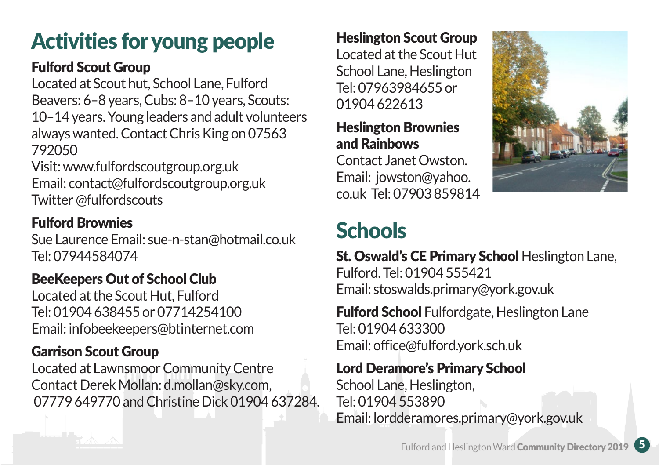### Activities for young people

#### Fulford Scout Group

Located at Scout hut, School Lane, Fulford Beavers: 6–8 years, Cubs: 8–10 years, Scouts: 10–14 years. Young leaders and adult volunteers always wanted. Contact Chris King on 07563 792050

Visit: www.fulfordscoutgroup.org.uk Email: contact@fulfordscoutgroup.org.uk Twitter @fulfordscouts

### Fulford Brownies

Sue Laurence Email: sue-n-stan@hotmail.co.uk Tel: 07944584074

### BeeKeepers Out of School Club

Located at the Scout Hut, Fulford Tel: 01904 638455 or 07714254100 Email: infobeekeepers@btinternet.com

#### Garrison Scout Group

Located at Lawnsmoor Community Centre Contact Derek Mollan: d.mollan@sky.com, 07779 649770 and Christine Dick 01904 637284.

#### Heslington Scout Group

Located at the Scout Hut School Lane, Heslington Tel: 07963984655 or 01904 622613

#### Heslington Brownies and Rainbows

Contact Janet Owston. Email: jowston@yahoo. co.uk Tel: 07903 859814



## **Schools**

St. Oswald's CE Primary School Heslington Lane, Fulford. Tel: 01904 555421 Email: stoswalds.primary@york.gov.uk

**Fulford School** Fulfordgate, Heslington Lane Tel: 01904 633300 Email: office@fulford.york.sch.uk

#### Lord Deramore's Primary School

School Lane, Heslington, Tel: 01904 553890 Email: lordderamores.primary@york.gov.uk

Fulford and Heslington Ward Community Directory 2019 5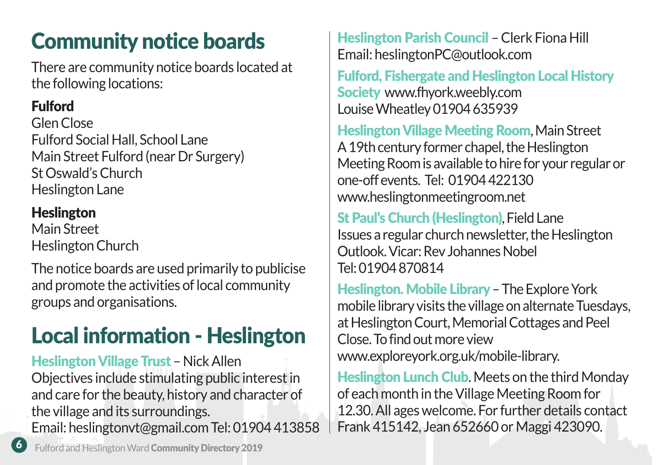## Community notice boards

There are community notice boards located at the following locations:

### Fulford

Glen Close Fulford Social Hall, School Lane Main Street Fulford (near Dr Surgery) St Oswald's Church Heslington Lane

### **Heslington**

Main Street Heslington Church

The notice boards are used primarily to publicise and promote the activities of local community groups and organisations.

## Local information - Heslington

Heslington Village Trust – Nick Allen Objectives include stimulating public interest in and care for the beauty, history and character of the village and its surroundings. Email: heslingtonvt@gmail.com Tel: 01904 413858

Heslington Parish Council – Clerk Fiona Hill Email: heslingtonPC@outlook.com

Fulford, Fishergate and Heslington Local History Society www.fhyork.weebly.com Louise Wheatley 01904 635939

Heslington Village Meeting Room, Main Street A 19th century former chapel, the Heslington Meeting Room is available to hire for your regular or one-off events. Tel: 01904 422130 www.heslingtonmeetingroom.net

St Paul's Church (Heslington), Field Lane Issues a regular church newsletter, the Heslington Outlook. Vicar: Rev Johannes Nobel Tel: 01904 870814

Heslington. Mobile Library – The Explore York mobile library visits the village on alternate Tuesdays, at Heslington Court, Memorial Cottages and Peel Close. To find out more view www.exploreyork.org.uk/mobile-library.

**Heslington Lunch Club.** Meets on the third Monday of each month in the Village Meeting Room for 12.30. All ages welcome. For further details contact Frank 415142, Jean 652660 or Maggi 423090.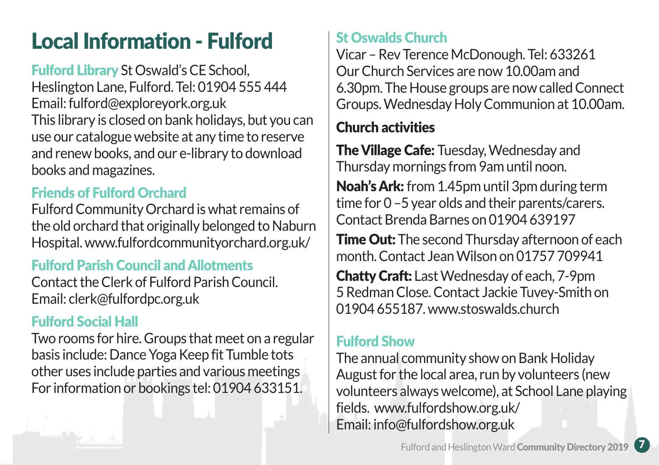### Local Information - Fulford

Fulford Library St Oswald's CE School, Heslington Lane, Fulford. Tel: 01904 555 444 Email: fulford@exploreyork.org.uk This library is closed on bank holidays, but you can use our catalogue website at any time to reserve and renew books, and our e-library to download books and magazines.

#### Friends of Fulford Orchard

Fulford Community Orchard is what remains of the old orchard that originally belonged to Naburn Hospital. www.fulfordcommunityorchard.org.uk/

#### Fulford Parish Council and Allotments

Contact the Clerk of Fulford Parish Council. Email: clerk@fulfordpc.org.uk

#### Fulford Social Hall

Two rooms for hire. Groups that meet on a regular basis include: Dance Yoga Keep fit Tumble tots other uses include parties and various meetings For information or bookings tel: 01904 633151.

#### St Oswalds Church

Vicar – Rev Terence McDonough. Tel: 633261 Our Church Services are now 10.00am and 6.30pm. The House groups are now called Connect Groups. Wednesday Holy Communion at 10.00am.

#### Church activities

**The Village Cafe: Tuesday, Wednesday and** Thursday mornings from 9am until noon.

Noah's Ark: from 1.45pm until 3pm during term time for 0 –5 year olds and their parents/carers. Contact Brenda Barnes on 01904 639197

**Time Out:** The second Thursday afternoon of each month. Contact Jean Wilson on 01757 709941

Chatty Craft: Last Wednesday of each, 7-9pm 5 Redman Close. Contact Jackie Tuvey-Smith on 01904 655187 www.stoswalds.church

#### Fulford Show

The annual community show on Bank Holiday August for the local area, run by volunteers (new volunteers always welcome), at School Lane playing fields. www.fulfordshow.org.uk/ Email: info@fulfordshow.org.uk